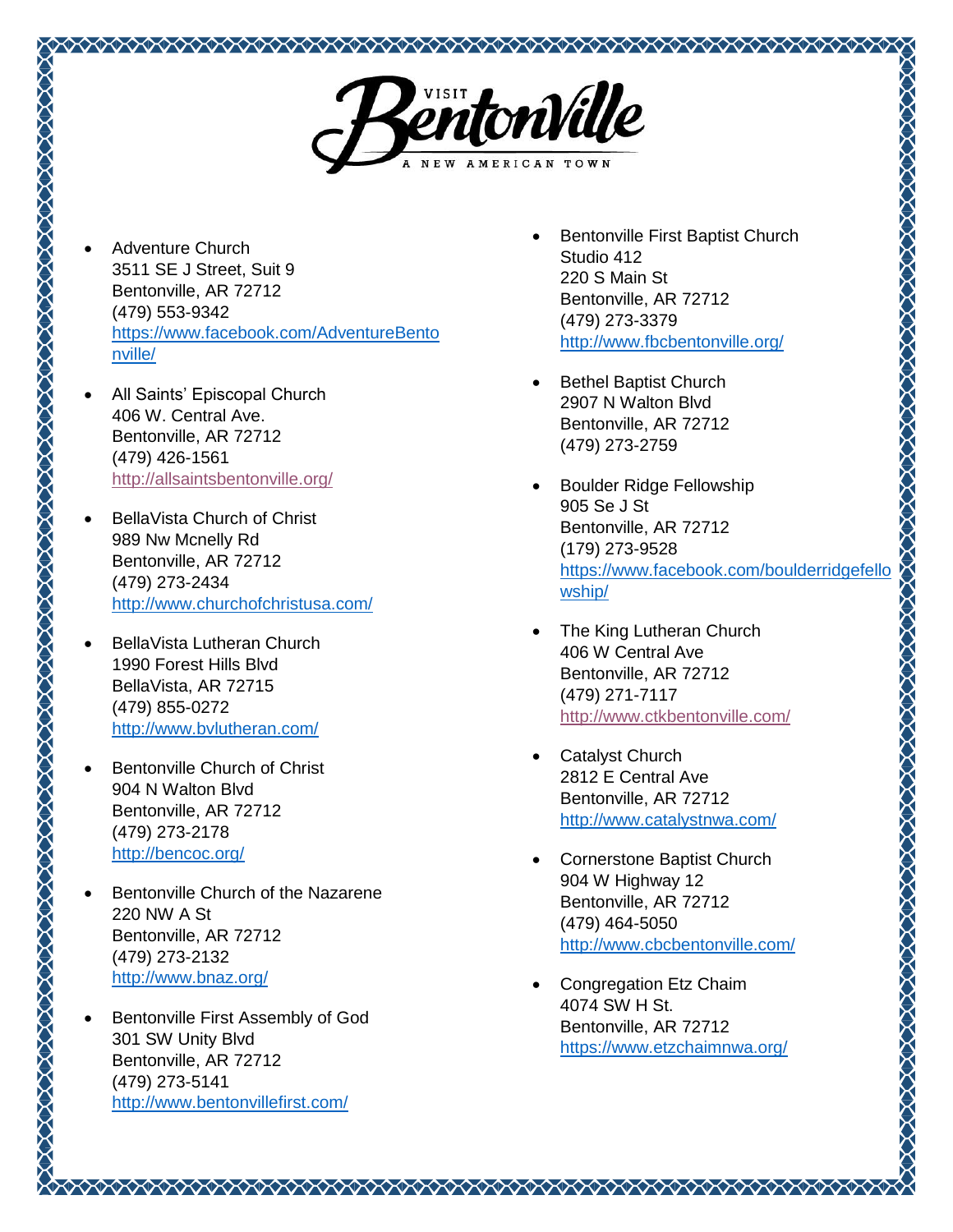

- Adventure Church 3511 SE J Street, Suit 9 Bentonville, AR 72712 (479) 553-9342 [https://www.facebook.com/AdventureBento](https://www.facebook.com/AdventureBentonville/) [nville/](https://www.facebook.com/AdventureBentonville/)
- All Saints' Episcopal Church 406 W. Central Ave. Bentonville, AR 72712 (479) 426-1561 <http://allsaintsbentonville.org/>
- BellaVista Church of Christ 989 Nw Mcnelly Rd Bentonville, AR 72712 (479) 273-2434 <http://www.churchofchristusa.com/>
- BellaVista Lutheran Church 1990 Forest Hills Blvd BellaVista, AR 72715 (479) 855-0272 <http://www.bvlutheran.com/>

- Bentonville Church of Christ 904 N Walton Blvd Bentonville, AR 72712 (479) 273-2178 <http://bencoc.org/>
- Bentonville Church of the Nazarene 220 NW A St Bentonville, AR 72712 (479) 273-2132 <http://www.bnaz.org/>
- Bentonville First Assembly of God 301 SW Unity Blvd Bentonville, AR 72712 (479) 273-5141 <http://www.bentonvillefirst.com/>
- Bentonville First Baptist Church Studio 412 220 S Main St Bentonville, AR 72712 (479) 273-3379 <http://www.fbcbentonville.org/>
- Bethel Baptist Church 2907 N Walton Blvd Bentonville, AR 72712 (479) 273-2759
- **ANAN ANAN ANAN ANAN ANAN ANAN AN**  Boulder Ridge Fellowship 905 Se J St Bentonville, AR 72712 (179) 273-9528 [https://www.facebook.com/boulderridgefello](https://www.facebook.com/boulderridgefellowship/) [wship/](https://www.facebook.com/boulderridgefellowship/)
- The King Lutheran Church 406 W Central Ave Bentonville, AR 72712 (479) 271-7117 <http://www.ctkbentonville.com/>
- Catalyst Church 2812 E Central Ave Bentonville, AR 72712 <http://www.catalystnwa.com/>
- Cornerstone Baptist Church 904 W Highway 12 Bentonville, AR 72712 (479) 464-5050 <http://www.cbcbentonville.com/>

 Congregation Etz Chaim 4074 SW H St. Bentonville, AR 72712 <https://www.etzchaimnwa.org/>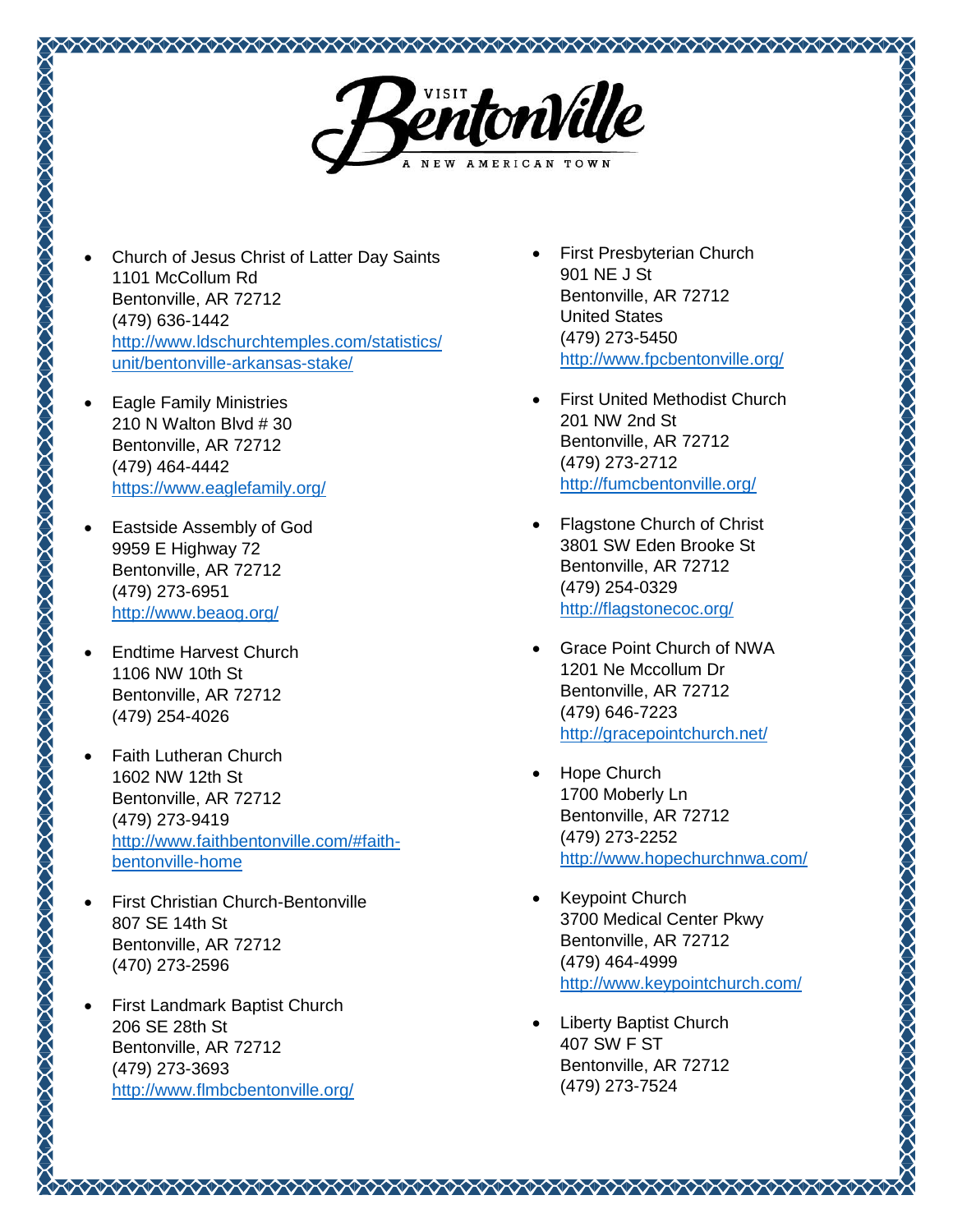

- Church of Jesus Christ of Latter Day Saints 1101 McCollum Rd Bentonville, AR 72712 (479) 636-1442 [http://www.ldschurchtemples.com/statistics/](http://www.ldschurchtemples.com/statistics/unit/bentonville-arkansas-stake/) [unit/bentonville-arkansas-stake/](http://www.ldschurchtemples.com/statistics/unit/bentonville-arkansas-stake/)
- Eagle Family Ministries 210 N Walton Blvd # 30 Bentonville, AR 72712 (479) 464-4442 <https://www.eaglefamily.org/>
- Eastside Assembly of God 9959 E Highway 72 Bentonville, AR 72712 (479) 273-6951 <http://www.beaog.org/>
- Endtime Harvest Church 1106 NW 10th St Bentonville, AR 72712 (479) 254-4026

- Faith Lutheran Church 1602 NW 12th St Bentonville, AR 72712 (479) 273-9419 [http://www.faithbentonville.com/#faith](http://www.faithbentonville.com/#faith-bentonville-home)[bentonville-home](http://www.faithbentonville.com/#faith-bentonville-home)
- First Christian Church-Bentonville 807 SE 14th St Bentonville, AR 72712 (470) 273-2596
- First Landmark Baptist Church 206 SE 28th St Bentonville, AR 72712 (479) 273-3693 <http://www.flmbcbentonville.org/>
- First Presbyterian Church 901 NE J St Bentonville, AR 72712 United States (479) 273-5450 <http://www.fpcbentonville.org/>
- First United Methodist Church 201 NW 2nd St Bentonville, AR 72712 (479) 273-2712 <http://fumcbentonville.org/>
- Flagstone Church of Christ 3801 SW Eden Brooke St Bentonville, AR 72712 (479) 254-0329 <http://flagstonecoc.org/>
- Grace Point Church of NWA 1201 Ne Mccollum Dr Bentonville, AR 72712 (479) 646-7223 <http://gracepointchurch.net/>

- Hope Church 1700 Moberly Ln Bentonville, AR 72712 (479) 273-2252 <http://www.hopechurchnwa.com/>
- Keypoint Church 3700 Medical Center Pkwy Bentonville, AR 72712 (479) 464-4999 <http://www.keypointchurch.com/>
- Liberty Baptist Church 407 SW F ST Bentonville, AR 72712 (479) 273-7524